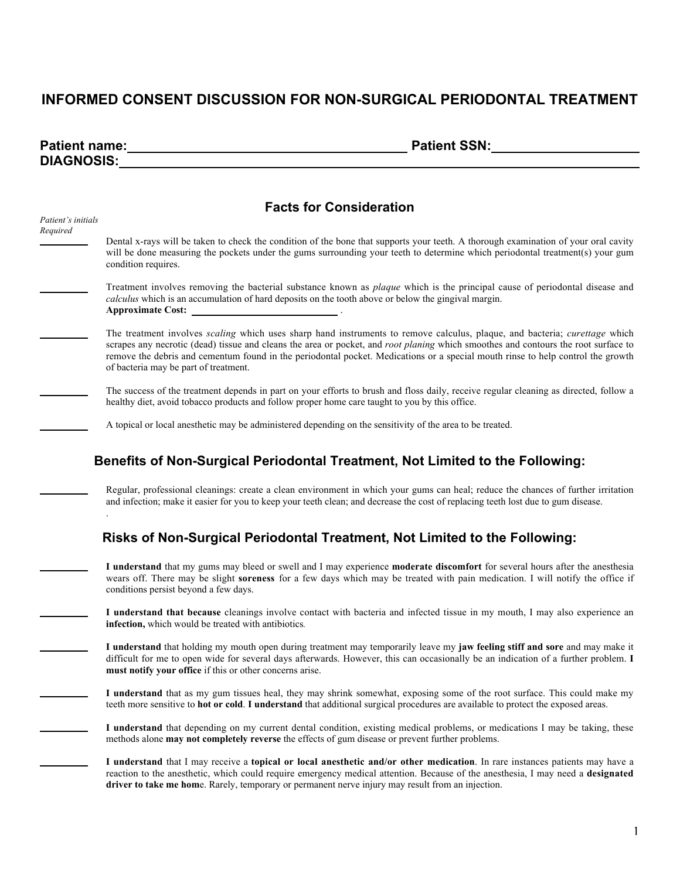## **INFORMED CONSENT DISCUSSION FOR NON-SURGICAL PERIODONTAL TREATMENT**

| <b>Patient name:</b> | <b>Patient SSN:</b> |
|----------------------|---------------------|
| <b>DIAGNOSIS:</b>    |                     |

| <b>Facts for Consideration</b> |                                                                                                                                                                                                                                                                                                                                                                                                                                                                   |  |
|--------------------------------|-------------------------------------------------------------------------------------------------------------------------------------------------------------------------------------------------------------------------------------------------------------------------------------------------------------------------------------------------------------------------------------------------------------------------------------------------------------------|--|
| Patient's initials<br>Required | Dental x-rays will be taken to check the condition of the bone that supports your teeth. A thorough examination of your oral cavity<br>will be done measuring the pockets under the gums surrounding your teeth to determine which periodontal treatment(s) your gum<br>condition requires.                                                                                                                                                                       |  |
|                                | Treatment involves removing the bacterial substance known as <i>plaque</i> which is the principal cause of periodontal disease and<br>calculus which is an accumulation of hard deposits on the tooth above or below the gingival margin.<br><b>Approximate Cost:</b>                                                                                                                                                                                             |  |
|                                | The treatment involves <i>scaling</i> which uses sharp hand instruments to remove calculus, plaque, and bacteria; <i>curettage</i> which<br>scrapes any necrotic (dead) tissue and cleans the area or pocket, and <i>root planing</i> which smoothes and contours the root surface to<br>remove the debris and cementum found in the periodontal pocket. Medications or a special mouth rinse to help control the growth<br>of bacteria may be part of treatment. |  |
|                                | The success of the treatment depends in part on your efforts to brush and floss daily, receive regular cleaning as directed, follow a<br>healthy diet, avoid tobacco products and follow proper home care taught to you by this office.                                                                                                                                                                                                                           |  |
|                                | A topical or local anesthetic may be administered depending on the sensitivity of the area to be treated.                                                                                                                                                                                                                                                                                                                                                         |  |
|                                | Benefits of Non-Surgical Periodontal Treatment, Not Limited to the Following:                                                                                                                                                                                                                                                                                                                                                                                     |  |
|                                | Regular, professional cleanings: create a clean environment in which your gums can heal; reduce the chances of further irritation<br>and infection; make it easier for you to keep your teeth clean; and decrease the cost of replacing teeth lost due to gum disease.                                                                                                                                                                                            |  |
|                                | Risks of Non-Surgical Periodontal Treatment, Not Limited to the Following:                                                                                                                                                                                                                                                                                                                                                                                        |  |
|                                | I understand that my gums may bleed or swell and I may experience moderate discomfort for several hours after the anesthesia<br>wears off. There may be slight soreness for a few days which may be treated with pain medication. I will notify the office if<br>conditions persist beyond a few days.                                                                                                                                                            |  |
|                                | I understand that because cleanings involve contact with bacteria and infected tissue in my mouth, I may also experience an<br>infection, which would be treated with antibiotics.                                                                                                                                                                                                                                                                                |  |
|                                | I understand that holding my mouth open during treatment may temporarily leave my jaw feeling stiff and sore and may make it<br>difficult for me to open wide for several days afterwards. However, this can occasionally be an indication of a further problem. I<br>must notify your office if this or other concerns arise.                                                                                                                                    |  |
|                                | I understand that as my gum tissues heal, they may shrink somewhat, exposing some of the root surface. This could make my<br>teeth more sensitive to hot or cold. I understand that additional surgical procedures are available to protect the exposed areas.                                                                                                                                                                                                    |  |
|                                | I understand that depending on my current dental condition, existing medical problems, or medications I may be taking, these<br>methods alone may not completely reverse the effects of gum disease or prevent further problems.                                                                                                                                                                                                                                  |  |
|                                | I understand that I may receive a topical or local anesthetic and/or other medication. In rare instances patients may have a<br>reaction to the anesthetic, which could require emergency medical attention. Because of the anesthesia, I may need a designated<br>driver to take me home. Rarely, temporary or permanent nerve injury may result from an injection.                                                                                              |  |
|                                |                                                                                                                                                                                                                                                                                                                                                                                                                                                                   |  |